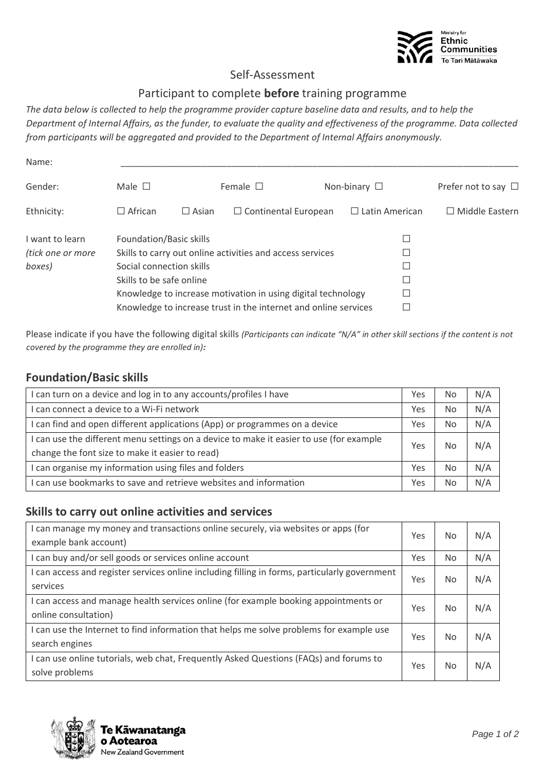

### Self-Assessment

#### Participant to complete **before** training programme

*The data below is collected to help the programme provider capture baseline data and results, and to help the Department of Internal Affairs, as the funder, to evaluate the quality and effectiveness of the programme. Data collected from participants will be aggregated and provided to the Department of Internal Affairs anonymously.* 

| Name:             |                                                                 |              |                                                           |   |                       |                          |  |
|-------------------|-----------------------------------------------------------------|--------------|-----------------------------------------------------------|---|-----------------------|--------------------------|--|
| Gender:           | Male $\square$                                                  |              | Female $\square$                                          |   | Non-binary $\square$  | Prefer not to say $\Box$ |  |
| Ethnicity:        | $\Box$ African                                                  | $\Box$ Asian | $\Box$ Continental European                               |   | $\Box$ Latin American | $\Box$ Middle Eastern    |  |
| I want to learn   | Foundation/Basic skills                                         |              |                                                           |   |                       |                          |  |
| (tick one or more |                                                                 |              | Skills to carry out online activities and access services |   |                       |                          |  |
| boxes)            | Social connection skills                                        |              |                                                           |   | Г                     |                          |  |
|                   | Skills to be safe online                                        |              |                                                           | ш |                       |                          |  |
|                   | Knowledge to increase motivation in using digital technology    |              |                                                           |   |                       |                          |  |
|                   | Knowledge to increase trust in the internet and online services |              |                                                           |   |                       |                          |  |

Please indicate if you have the following digital skills *(Participants can indicate "N/A" in other skill sections if the content is not covered by the programme they are enrolled in):*

### **Foundation/Basic skills**

| I can turn on a device and log in to any accounts/profiles I have                       |     | No        | N/A |
|-----------------------------------------------------------------------------------------|-----|-----------|-----|
| I can connect a device to a Wi-Fi network                                               |     | <b>No</b> | N/A |
| I can find and open different applications (App) or programmes on a device              | Yes | No        | N/A |
| I can use the different menu settings on a device to make it easier to use (for example | Yes |           | N/A |
| change the font size to make it easier to read)                                         |     | No        |     |
| I can organise my information using files and folders                                   |     | <b>No</b> | N/A |
| I can use bookmarks to save and retrieve websites and information                       |     | No        | N/A |

#### **Skills to carry out online activities and services**

| I can manage my money and transactions online securely, via websites or apps (for<br>example bank account)  |     | No  | N/A |
|-------------------------------------------------------------------------------------------------------------|-----|-----|-----|
| I can buy and/or sell goods or services online account                                                      | Yes | No. | N/A |
| I can access and register services online including filling in forms, particularly government<br>services   | Yes | No  | N/A |
| I can access and manage health services online (for example booking appointments or<br>online consultation) | Yes | No  | N/A |
| I can use the Internet to find information that helps me solve problems for example use<br>search engines   | Yes | No  | N/A |
| I can use online tutorials, web chat, Frequently Asked Questions (FAQs) and forums to<br>solve problems     | Yes | No  | N/A |